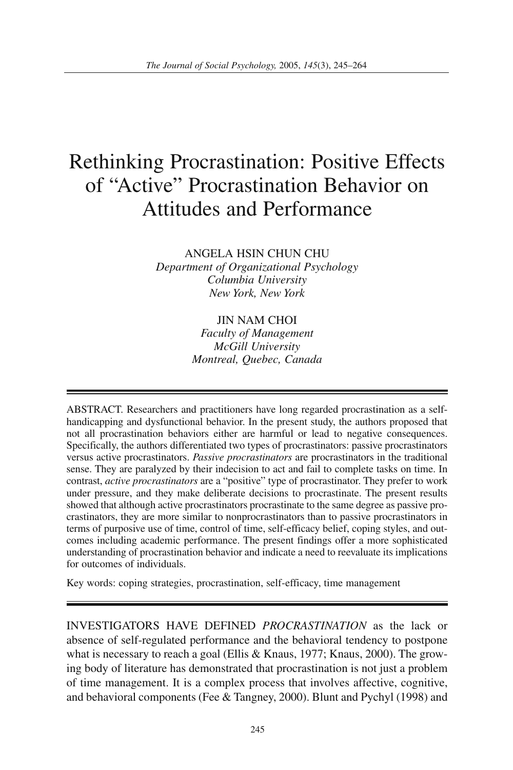# Rethinking Procrastination: Positive Effects of "Active" Procrastination Behavior on Attitudes and Performance

ANGELA HSIN CHUN CHU

*Department of Organizational Psychology Columbia University New York, New York*

## JIN NAM CHOI

*Faculty of Management McGill University Montreal, Quebec, Canada* 

ABSTRACT. Researchers and practitioners have long regarded procrastination as a selfhandicapping and dysfunctional behavior. In the present study, the authors proposed that not all procrastination behaviors either are harmful or lead to negative consequences. Specifically, the authors differentiated two types of procrastinators: passive procrastinators versus active procrastinators. *Passive procrastinators* are procrastinators in the traditional sense. They are paralyzed by their indecision to act and fail to complete tasks on time. In contrast, *active procrastinators* are a "positive" type of procrastinator. They prefer to work under pressure, and they make deliberate decisions to procrastinate. The present results showed that although active procrastinators procrastinate to the same degree as passive procrastinators, they are more similar to nonprocrastinators than to passive procrastinators in terms of purposive use of time, control of time, self-efficacy belief, coping styles, and outcomes including academic performance. The present findings offer a more sophisticated understanding of procrastination behavior and indicate a need to reevaluate its implications for outcomes of individuals.

Key words: coping strategies, procrastination, self-efficacy, time management

INVESTIGATORS HAVE DEFINED *PROCRASTINATION* as the lack or absence of self-regulated performance and the behavioral tendency to postpone what is necessary to reach a goal (Ellis & Knaus, 1977; Knaus, 2000). The growing body of literature has demonstrated that procrastination is not just a problem of time management. It is a complex process that involves affective, cognitive, and behavioral components (Fee & Tangney, 2000). Blunt and Pychyl (1998) and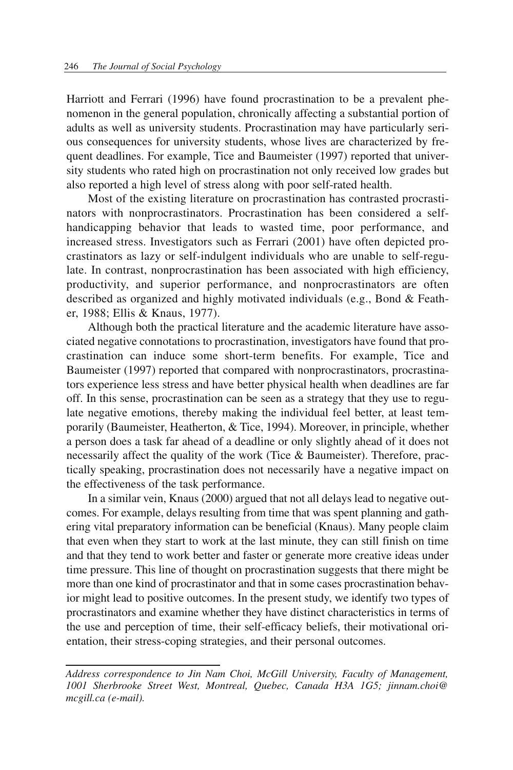Harriott and Ferrari (1996) have found procrastination to be a prevalent phenomenon in the general population, chronically affecting a substantial portion of adults as well as university students. Procrastination may have particularly serious consequences for university students, whose lives are characterized by frequent deadlines. For example, Tice and Baumeister (1997) reported that university students who rated high on procrastination not only received low grades but also reported a high level of stress along with poor self-rated health.

Most of the existing literature on procrastination has contrasted procrastinators with nonprocrastinators. Procrastination has been considered a selfhandicapping behavior that leads to wasted time, poor performance, and increased stress. Investigators such as Ferrari (2001) have often depicted procrastinators as lazy or self-indulgent individuals who are unable to self-regulate. In contrast, nonprocrastination has been associated with high efficiency, productivity, and superior performance, and nonprocrastinators are often described as organized and highly motivated individuals (e.g., Bond & Feather, 1988; Ellis & Knaus, 1977).

Although both the practical literature and the academic literature have associated negative connotations to procrastination, investigators have found that procrastination can induce some short-term benefits. For example, Tice and Baumeister (1997) reported that compared with nonprocrastinators, procrastinators experience less stress and have better physical health when deadlines are far off. In this sense, procrastination can be seen as a strategy that they use to regulate negative emotions, thereby making the individual feel better, at least temporarily (Baumeister, Heatherton, & Tice, 1994). Moreover, in principle, whether a person does a task far ahead of a deadline or only slightly ahead of it does not necessarily affect the quality of the work (Tice & Baumeister). Therefore, practically speaking, procrastination does not necessarily have a negative impact on the effectiveness of the task performance.

In a similar vein, Knaus (2000) argued that not all delays lead to negative outcomes. For example, delays resulting from time that was spent planning and gathering vital preparatory information can be beneficial (Knaus). Many people claim that even when they start to work at the last minute, they can still finish on time and that they tend to work better and faster or generate more creative ideas under time pressure. This line of thought on procrastination suggests that there might be more than one kind of procrastinator and that in some cases procrastination behavior might lead to positive outcomes. In the present study, we identify two types of procrastinators and examine whether they have distinct characteristics in terms of the use and perception of time, their self-efficacy beliefs, their motivational orientation, their stress-coping strategies, and their personal outcomes.

*Address correspondence to Jin Nam Choi, McGill University, Faculty of Management, 1001 Sherbrooke Street West, Montreal, Quebec, Canada H3A 1G5; jinnam.choi@ mcgill.ca (e-mail).*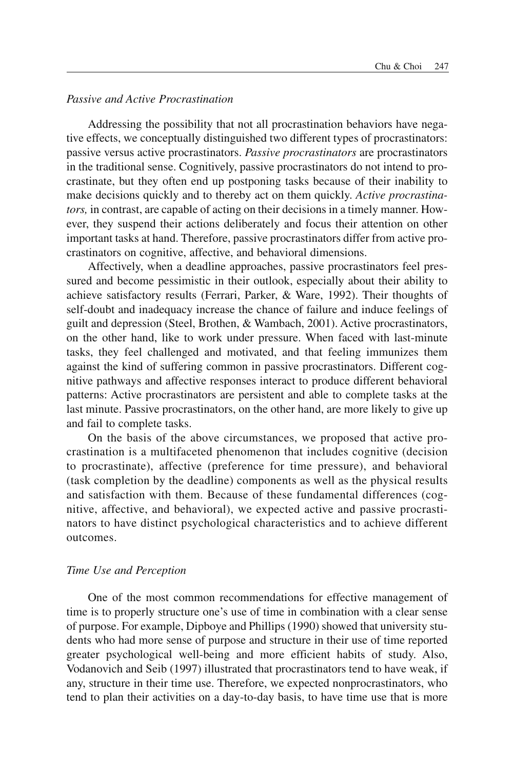## *Passive and Active Procrastination*

Addressing the possibility that not all procrastination behaviors have negative effects, we conceptually distinguished two different types of procrastinators: passive versus active procrastinators. *Passive procrastinators* are procrastinators in the traditional sense. Cognitively, passive procrastinators do not intend to procrastinate, but they often end up postponing tasks because of their inability to make decisions quickly and to thereby act on them quickly. *Active procrastinators,* in contrast, are capable of acting on their decisions in a timely manner. However, they suspend their actions deliberately and focus their attention on other important tasks at hand. Therefore, passive procrastinators differ from active procrastinators on cognitive, affective, and behavioral dimensions.

Affectively, when a deadline approaches, passive procrastinators feel pressured and become pessimistic in their outlook, especially about their ability to achieve satisfactory results (Ferrari, Parker, & Ware, 1992). Their thoughts of self-doubt and inadequacy increase the chance of failure and induce feelings of guilt and depression (Steel, Brothen, & Wambach, 2001). Active procrastinators, on the other hand, like to work under pressure. When faced with last-minute tasks, they feel challenged and motivated, and that feeling immunizes them against the kind of suffering common in passive procrastinators. Different cognitive pathways and affective responses interact to produce different behavioral patterns: Active procrastinators are persistent and able to complete tasks at the last minute. Passive procrastinators, on the other hand, are more likely to give up and fail to complete tasks.

On the basis of the above circumstances, we proposed that active procrastination is a multifaceted phenomenon that includes cognitive (decision to procrastinate), affective (preference for time pressure), and behavioral (task completion by the deadline) components as well as the physical results and satisfaction with them. Because of these fundamental differences (cognitive, affective, and behavioral), we expected active and passive procrastinators to have distinct psychological characteristics and to achieve different outcomes.

#### *Time Use and Perception*

One of the most common recommendations for effective management of time is to properly structure one's use of time in combination with a clear sense of purpose. For example, Dipboye and Phillips (1990) showed that university students who had more sense of purpose and structure in their use of time reported greater psychological well-being and more efficient habits of study. Also, Vodanovich and Seib (1997) illustrated that procrastinators tend to have weak, if any, structure in their time use. Therefore, we expected nonprocrastinators, who tend to plan their activities on a day-to-day basis, to have time use that is more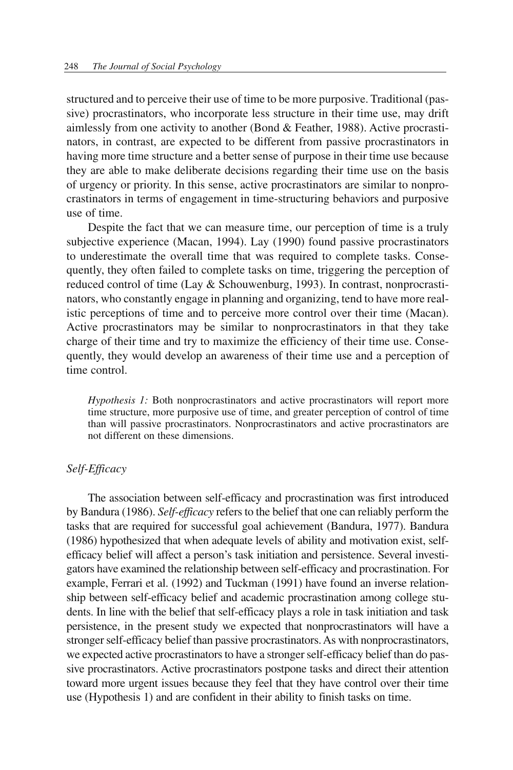structured and to perceive their use of time to be more purposive. Traditional (passive) procrastinators, who incorporate less structure in their time use, may drift aimlessly from one activity to another (Bond & Feather, 1988). Active procrastinators, in contrast, are expected to be different from passive procrastinators in having more time structure and a better sense of purpose in their time use because they are able to make deliberate decisions regarding their time use on the basis of urgency or priority. In this sense, active procrastinators are similar to nonprocrastinators in terms of engagement in time-structuring behaviors and purposive use of time.

Despite the fact that we can measure time, our perception of time is a truly subjective experience (Macan, 1994). Lay (1990) found passive procrastinators to underestimate the overall time that was required to complete tasks. Consequently, they often failed to complete tasks on time, triggering the perception of reduced control of time (Lay & Schouwenburg, 1993). In contrast, nonprocrastinators, who constantly engage in planning and organizing, tend to have more realistic perceptions of time and to perceive more control over their time (Macan). Active procrastinators may be similar to nonprocrastinators in that they take charge of their time and try to maximize the efficiency of their time use. Consequently, they would develop an awareness of their time use and a perception of time control.

*Hypothesis 1:* Both nonprocrastinators and active procrastinators will report more time structure, more purposive use of time, and greater perception of control of time than will passive procrastinators. Nonprocrastinators and active procrastinators are not different on these dimensions.

#### *Self-Efficacy*

The association between self-efficacy and procrastination was first introduced by Bandura (1986). *Self-efficacy* refers to the belief that one can reliably perform the tasks that are required for successful goal achievement (Bandura, 1977). Bandura (1986) hypothesized that when adequate levels of ability and motivation exist, selfefficacy belief will affect a person's task initiation and persistence. Several investigators have examined the relationship between self-efficacy and procrastination. For example, Ferrari et al. (1992) and Tuckman (1991) have found an inverse relationship between self-efficacy belief and academic procrastination among college students. In line with the belief that self-efficacy plays a role in task initiation and task persistence, in the present study we expected that nonprocrastinators will have a stronger self-efficacy belief than passive procrastinators. As with nonprocrastinators, we expected active procrastinators to have a stronger self-efficacy belief than do passive procrastinators. Active procrastinators postpone tasks and direct their attention toward more urgent issues because they feel that they have control over their time use (Hypothesis 1) and are confident in their ability to finish tasks on time.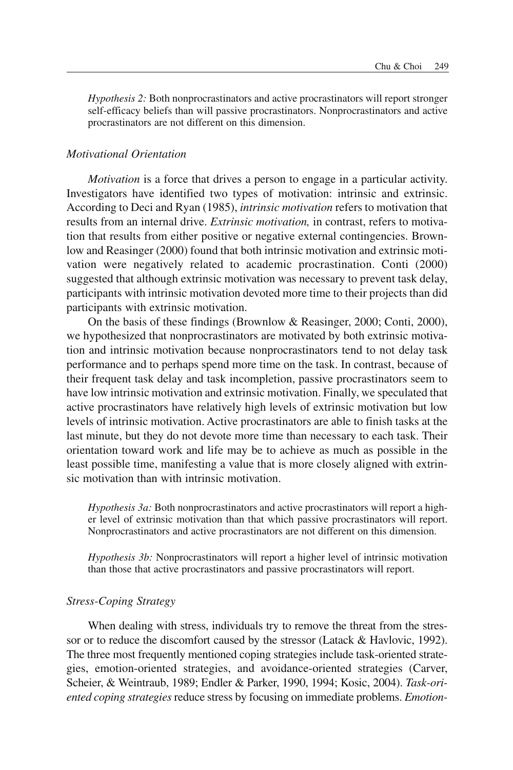*Hypothesis 2:* Both nonprocrastinators and active procrastinators will report stronger self-efficacy beliefs than will passive procrastinators. Nonprocrastinators and active procrastinators are not different on this dimension.

## *Motivational Orientation*

*Motivation* is a force that drives a person to engage in a particular activity. Investigators have identified two types of motivation: intrinsic and extrinsic. According to Deci and Ryan (1985), *intrinsic motivation* refers to motivation that results from an internal drive. *Extrinsic motivation,* in contrast, refers to motivation that results from either positive or negative external contingencies. Brownlow and Reasinger (2000) found that both intrinsic motivation and extrinsic motivation were negatively related to academic procrastination. Conti (2000) suggested that although extrinsic motivation was necessary to prevent task delay, participants with intrinsic motivation devoted more time to their projects than did participants with extrinsic motivation.

On the basis of these findings (Brownlow & Reasinger, 2000; Conti, 2000), we hypothesized that nonprocrastinators are motivated by both extrinsic motivation and intrinsic motivation because nonprocrastinators tend to not delay task performance and to perhaps spend more time on the task. In contrast, because of their frequent task delay and task incompletion, passive procrastinators seem to have low intrinsic motivation and extrinsic motivation. Finally, we speculated that active procrastinators have relatively high levels of extrinsic motivation but low levels of intrinsic motivation. Active procrastinators are able to finish tasks at the last minute, but they do not devote more time than necessary to each task. Their orientation toward work and life may be to achieve as much as possible in the least possible time, manifesting a value that is more closely aligned with extrinsic motivation than with intrinsic motivation.

*Hypothesis 3a:* Both nonprocrastinators and active procrastinators will report a higher level of extrinsic motivation than that which passive procrastinators will report. Nonprocrastinators and active procrastinators are not different on this dimension.

*Hypothesis 3b:* Nonprocrastinators will report a higher level of intrinsic motivation than those that active procrastinators and passive procrastinators will report.

### *Stress-Coping Strategy*

When dealing with stress, individuals try to remove the threat from the stressor or to reduce the discomfort caused by the stressor (Latack & Havlovic, 1992). The three most frequently mentioned coping strategies include task-oriented strategies, emotion-oriented strategies, and avoidance-oriented strategies (Carver, Scheier, & Weintraub, 1989; Endler & Parker, 1990, 1994; Kosic, 2004). *Task-ori*ented coping strategies reduce stress by focusing on immediate problems. *Emotion*-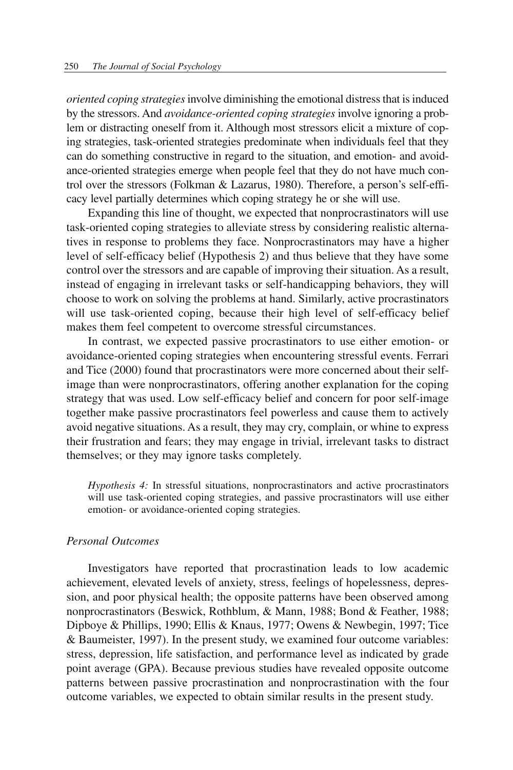*oriented coping strategies* involve diminishing the emotional distress that is induced by the stressors. And *avoidance-oriented coping strategies* involve ignoring a problem or distracting oneself from it. Although most stressors elicit a mixture of coping strategies, task-oriented strategies predominate when individuals feel that they can do something constructive in regard to the situation, and emotion- and avoidance-oriented strategies emerge when people feel that they do not have much control over the stressors (Folkman & Lazarus, 1980). Therefore, a person's self-efficacy level partially determines which coping strategy he or she will use.

Expanding this line of thought, we expected that nonprocrastinators will use task-oriented coping strategies to alleviate stress by considering realistic alternatives in response to problems they face. Nonprocrastinators may have a higher level of self-efficacy belief (Hypothesis 2) and thus believe that they have some control over the stressors and are capable of improving their situation. As a result, instead of engaging in irrelevant tasks or self-handicapping behaviors, they will choose to work on solving the problems at hand. Similarly, active procrastinators will use task-oriented coping, because their high level of self-efficacy belief makes them feel competent to overcome stressful circumstances.

In contrast, we expected passive procrastinators to use either emotion- or avoidance-oriented coping strategies when encountering stressful events. Ferrari and Tice (2000) found that procrastinators were more concerned about their selfimage than were nonprocrastinators, offering another explanation for the coping strategy that was used. Low self-efficacy belief and concern for poor self-image together make passive procrastinators feel powerless and cause them to actively avoid negative situations. As a result, they may cry, complain, or whine to express their frustration and fears; they may engage in trivial, irrelevant tasks to distract themselves; or they may ignore tasks completely.

*Hypothesis 4:* In stressful situations, nonprocrastinators and active procrastinators will use task-oriented coping strategies, and passive procrastinators will use either emotion- or avoidance-oriented coping strategies.

#### *Personal Outcomes*

Investigators have reported that procrastination leads to low academic achievement, elevated levels of anxiety, stress, feelings of hopelessness, depression, and poor physical health; the opposite patterns have been observed among nonprocrastinators (Beswick, Rothblum, & Mann, 1988; Bond & Feather, 1988; Dipboye & Phillips, 1990; Ellis & Knaus, 1977; Owens & Newbegin, 1997; Tice & Baumeister, 1997). In the present study, we examined four outcome variables: stress, depression, life satisfaction, and performance level as indicated by grade point average (GPA). Because previous studies have revealed opposite outcome patterns between passive procrastination and nonprocrastination with the four outcome variables, we expected to obtain similar results in the present study.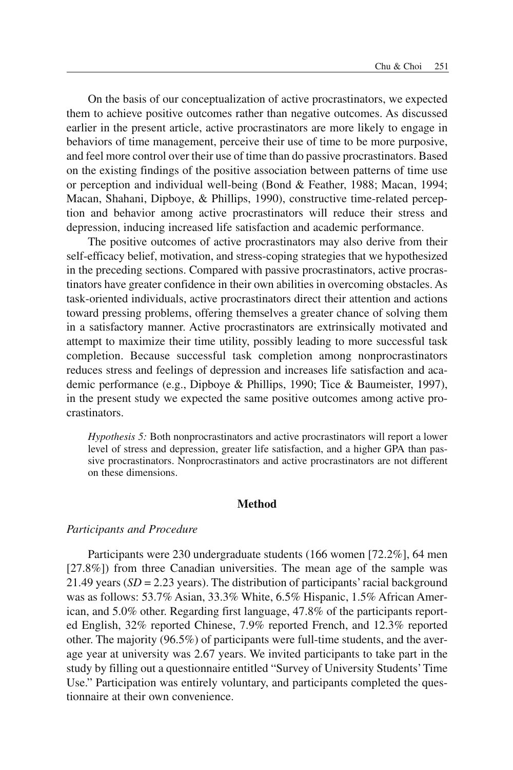On the basis of our conceptualization of active procrastinators, we expected them to achieve positive outcomes rather than negative outcomes. As discussed earlier in the present article, active procrastinators are more likely to engage in behaviors of time management, perceive their use of time to be more purposive, and feel more control over their use of time than do passive procrastinators. Based on the existing findings of the positive association between patterns of time use or perception and individual well-being (Bond & Feather, 1988; Macan, 1994; Macan, Shahani, Dipboye, & Phillips, 1990), constructive time-related perception and behavior among active procrastinators will reduce their stress and depression, inducing increased life satisfaction and academic performance.

The positive outcomes of active procrastinators may also derive from their self-efficacy belief, motivation, and stress-coping strategies that we hypothesized in the preceding sections. Compared with passive procrastinators, active procrastinators have greater confidence in their own abilities in overcoming obstacles. As task-oriented individuals, active procrastinators direct their attention and actions toward pressing problems, offering themselves a greater chance of solving them in a satisfactory manner. Active procrastinators are extrinsically motivated and attempt to maximize their time utility, possibly leading to more successful task completion. Because successful task completion among nonprocrastinators reduces stress and feelings of depression and increases life satisfaction and academic performance (e.g., Dipboye & Phillips, 1990; Tice & Baumeister, 1997), in the present study we expected the same positive outcomes among active procrastinators.

*Hypothesis 5:* Both nonprocrastinators and active procrastinators will report a lower level of stress and depression, greater life satisfaction, and a higher GPA than passive procrastinators. Nonprocrastinators and active procrastinators are not different on these dimensions.

## **Method**

#### *Participants and Procedure*

Participants were 230 undergraduate students (166 women [72.2%], 64 men [27.8%]) from three Canadian universities. The mean age of the sample was 21.49 years (*SD* = 2.23 years). The distribution of participants' racial background was as follows: 53.7% Asian, 33.3% White, 6.5% Hispanic, 1.5% African American, and 5.0% other. Regarding first language, 47.8% of the participants reported English, 32% reported Chinese, 7.9% reported French, and 12.3% reported other. The majority (96.5%) of participants were full-time students, and the average year at university was 2.67 years. We invited participants to take part in the study by filling out a questionnaire entitled "Survey of University Students'Time Use." Participation was entirely voluntary, and participants completed the questionnaire at their own convenience.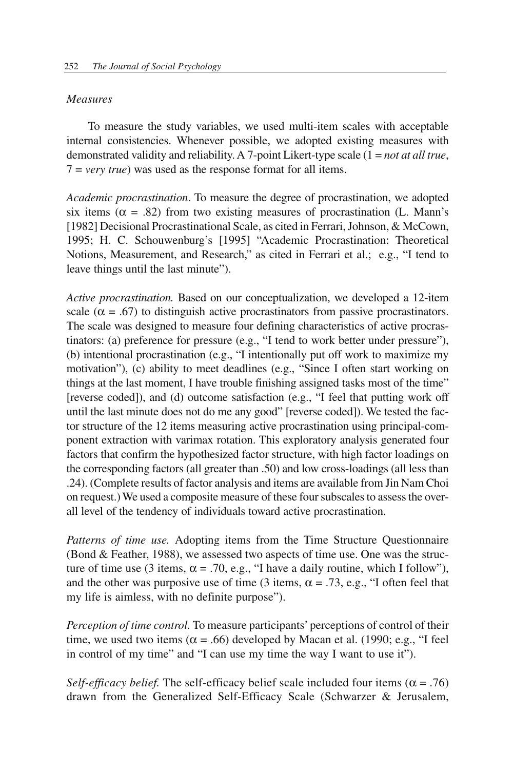## *Measures*

To measure the study variables, we used multi-item scales with acceptable internal consistencies. Whenever possible, we adopted existing measures with demonstrated validity and reliability. A 7-point Likert-type scale (1 = *not at all true*, 7 = *very true*) was used as the response format for all items.

*Academic procrastination*. To measure the degree of procrastination, we adopted six items ( $\alpha$  = .82) from two existing measures of procrastination (L. Mann's [1982] Decisional Procrastinational Scale, as cited in Ferrari, Johnson, & McCown, 1995; H. C. Schouwenburg's [1995] "Academic Procrastination: Theoretical Notions, Measurement, and Research," as cited in Ferrari et al.; e.g., "I tend to leave things until the last minute").

*Active procrastination.* Based on our conceptualization, we developed a 12-item scale ( $\alpha$  = .67) to distinguish active procrastinators from passive procrastinators. The scale was designed to measure four defining characteristics of active procrastinators: (a) preference for pressure (e.g., "I tend to work better under pressure"), (b) intentional procrastination (e.g., "I intentionally put off work to maximize my motivation"), (c) ability to meet deadlines (e.g., "Since I often start working on things at the last moment, I have trouble finishing assigned tasks most of the time" [reverse coded]), and (d) outcome satisfaction (e.g., "I feel that putting work off until the last minute does not do me any good" [reverse coded]). We tested the factor structure of the 12 items measuring active procrastination using principal-component extraction with varimax rotation. This exploratory analysis generated four factors that confirm the hypothesized factor structure, with high factor loadings on the corresponding factors (all greater than .50) and low cross-loadings (all less than .24). (Complete results of factor analysis and items are available from Jin Nam Choi on request.) We used a composite measure of these four subscales to assess the overall level of the tendency of individuals toward active procrastination.

*Patterns of time use.* Adopting items from the Time Structure Questionnaire (Bond & Feather, 1988), we assessed two aspects of time use. One was the structure of time use (3 items,  $\alpha = .70$ , e.g., "I have a daily routine, which I follow"), and the other was purposive use of time (3 items,  $\alpha = .73$ , e.g., "I often feel that my life is aimless, with no definite purpose").

*Perception of time control.* To measure participants' perceptions of control of their time, we used two items ( $\alpha = .66$ ) developed by Macan et al. (1990; e.g., "I feel in control of my time" and "I can use my time the way I want to use it").

*Self-efficacy belief.* The self-efficacy belief scale included four items  $(\alpha = .76)$ drawn from the Generalized Self-Efficacy Scale (Schwarzer & Jerusalem,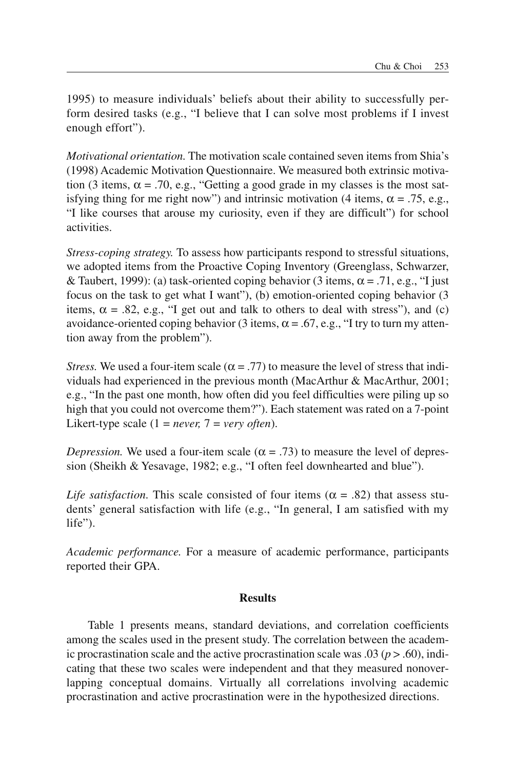1995) to measure individuals' beliefs about their ability to successfully perform desired tasks (e.g., "I believe that I can solve most problems if I invest enough effort").

*Motivational orientation.* The motivation scale contained seven items from Shia's (1998) Academic Motivation Questionnaire. We measured both extrinsic motivation (3 items,  $\alpha = .70$ , e.g., "Getting a good grade in my classes is the most satisfying thing for me right now") and intrinsic motivation (4 items,  $\alpha = .75$ , e.g., "I like courses that arouse my curiosity, even if they are difficult") for school activities.

*Stress-coping strategy.* To assess how participants respond to stressful situations, we adopted items from the Proactive Coping Inventory (Greenglass, Schwarzer, & Taubert, 1999): (a) task-oriented coping behavior (3 items,  $\alpha$  = .71, e.g., "I just focus on the task to get what I want"), (b) emotion-oriented coping behavior (3 items,  $\alpha = .82$ , e.g., "I get out and talk to others to deal with stress"), and (c) avoidance-oriented coping behavior (3 items,  $\alpha$  = .67, e.g., "I try to turn my attention away from the problem").

*Stress.* We used a four-item scale  $(\alpha = .77)$  to measure the level of stress that individuals had experienced in the previous month (MacArthur & MacArthur, 2001; e.g., "In the past one month, how often did you feel difficulties were piling up so high that you could not overcome them?"). Each statement was rated on a 7-point Likert-type scale (1 = *never,* 7 = *very often*).

*Depression.* We used a four-item scale ( $\alpha$  = .73) to measure the level of depression (Sheikh & Yesavage, 1982; e.g., "I often feel downhearted and blue").

*Life satisfaction.* This scale consisted of four items  $(\alpha = .82)$  that assess students' general satisfaction with life (e.g., "In general, I am satisfied with my life").

*Academic performance.* For a measure of academic performance, participants reported their GPA.

## **Results**

Table 1 presents means, standard deviations, and correlation coefficients among the scales used in the present study. The correlation between the academic procrastination scale and the active procrastination scale was  $.03 (p > .60)$ , indicating that these two scales were independent and that they measured nonoverlapping conceptual domains. Virtually all correlations involving academic procrastination and active procrastination were in the hypothesized directions.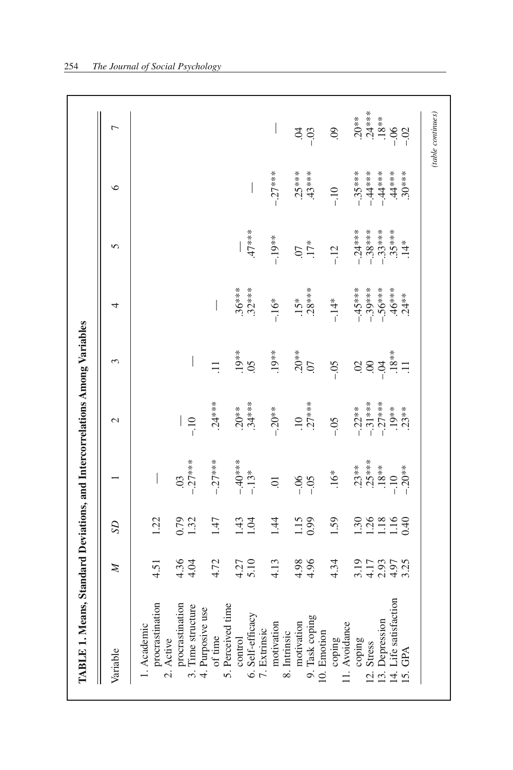| Variable                           | $\mathbb{Z}$              | S <sub>D</sub>                                                            |                      | $\mathcal{L}$            | 3                                    | 4        | 5                 | $\circ$  | $\overline{ }$                                       |
|------------------------------------|---------------------------|---------------------------------------------------------------------------|----------------------|--------------------------|--------------------------------------|----------|-------------------|----------|------------------------------------------------------|
| 1. Academic                        |                           |                                                                           |                      |                          |                                      |          |                   |          |                                                      |
| procrastination<br>2. Active       | 4.51                      | 1.22                                                                      | $\bigg $             |                          |                                      |          |                   |          |                                                      |
| procrastination                    | 4.36                      | 0.79                                                                      | $\overline{0}$       | $\overline{\phantom{a}}$ |                                      |          |                   |          |                                                      |
| 3. Time structure                  | 4.04                      | 1.32                                                                      | $-27***$             | $-10$                    | $\bigg $                             |          |                   |          |                                                      |
| 4. Purposive use                   |                           |                                                                           |                      |                          |                                      |          |                   |          |                                                      |
| of time                            | 4.72                      | 1.47                                                                      | $-27***$             | $.24***$                 | $\equiv$                             |          |                   |          |                                                      |
| 5. Perceived time                  |                           |                                                                           |                      |                          |                                      |          |                   |          |                                                      |
| control                            | 4.27                      | 1.43                                                                      | $-40**$              | $.20**$                  | $.19**$                              | $.36***$ |                   |          |                                                      |
| 6. Self-efficacy                   | 5.10                      | 1.04                                                                      | $-.13*$              | $.34***$                 | $\overline{0}$                       | $.32***$ | $.47***$          | $\bigg $ |                                                      |
| 7. Extrinsic                       |                           |                                                                           |                      |                          |                                      |          |                   |          |                                                      |
| motivation                         | 4.13                      | 1.44                                                                      | $\Xi$                | $-20**$                  | $.19**$                              | $-16*$   | $-19**$           | $-27***$ | $\bigg $                                             |
| 8. Intrinsic                       |                           |                                                                           |                      |                          |                                      |          |                   |          |                                                      |
| motivation                         | 4.98                      | 1.15                                                                      | $-0.5$               | $\overline{10}$          | $20**$                               | $15*$    | $\overline{0}$    | $.25***$ |                                                      |
| 9. Task coping<br>10. Emotion      | 4.96                      |                                                                           |                      | $.27***$                 | $\overline{O}$                       | $.28***$ | $17*$             | $.43***$ | $rac{1}{2}$                                          |
| coping                             | 4.34                      | 1.59                                                                      | $.16*$               | $-0.5$                   | $-0.5$                               | $-14*$   | $-12$             | $-10$    | $\ddot{\text{6}}$                                    |
| 11. Avoidance                      |                           |                                                                           |                      |                          |                                      |          |                   |          |                                                      |
| coping                             | 3.19                      |                                                                           |                      |                          |                                      | $-45***$ | $-24***$          | $-35***$ |                                                      |
| Stress<br>$\bar{q}$                |                           | $\frac{30}{112}$<br>$\frac{30}{11}$<br>$\frac{30}{11}$<br>$\frac{40}{11}$ | $.23***$<br>$.25***$ | $-22**$<br>$-31***$      | $\frac{2}{5}$                        | $-39***$ | $-38***$          | $-44***$ | $.20***$<br>$.24***$<br>$.18***$<br>$-.06$<br>$-.02$ |
| Depression<br>$\overline{3}$ .     | $\frac{17}{2.93}$<br>2.93 |                                                                           | $-18$ **<br>$-10$    | $-27***$                 | $-0.4$                               | $-56***$ | $-33***$          | $-44***$ |                                                      |
| Life satisfaction<br>$\frac{1}{4}$ |                           |                                                                           |                      | $.19**$                  | $\overset{18}{\underset{11}{\cdot}}$ | $46***$  |                   | $.44***$ |                                                      |
| GPA<br>$\overline{5}$ .            | 3.25                      |                                                                           | $-20**$              | $.23**$                  |                                      | $.24**$  | $\stackrel{*}{=}$ | $.30***$ |                                                      |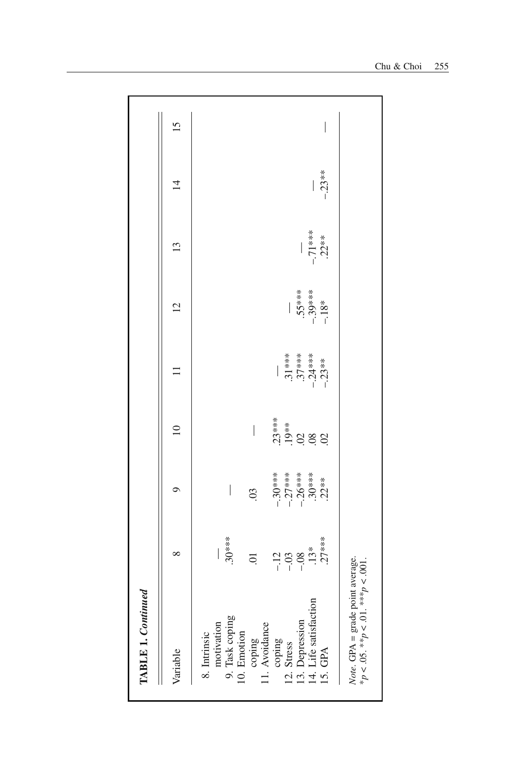| <b>TABLE 1. Continued</b>                                                                                                                                            |                                                                                                       |                                                                         |             |                                                                              |                                                                                                |                                                  |                     |                          |
|----------------------------------------------------------------------------------------------------------------------------------------------------------------------|-------------------------------------------------------------------------------------------------------|-------------------------------------------------------------------------|-------------|------------------------------------------------------------------------------|------------------------------------------------------------------------------------------------|--------------------------------------------------|---------------------|--------------------------|
| Variable                                                                                                                                                             | $\infty$                                                                                              | ⊝                                                                       | $\supseteq$ |                                                                              | $\overline{c}$                                                                                 | $\frac{13}{2}$                                   | $\overline{4}$      | $15 \,$                  |
| 13. Depression<br>14. Life satisfaction<br>9. Task coping<br>motivation<br>coping<br>11. Avoidance<br>10. Emotion<br>8. Intrinsic<br>coping<br>12. Stress<br>15. GPA | $.27***$<br>$\frac{1}{30^{***}}$<br>$\frac{12}{10}$ 3 $\frac{8}{10}$ $\frac{3}{10}$<br>$\overline{a}$ | - 30***<br>- 27***<br>- 26****<br>- 30***<br>$\bigg $<br>$\overline{0}$ |             | $\begin{array}{r} 1** \\ -31** \\ -37** \\ -24** \\ -230* \\ -1 \end{array}$ | $55***$<br>$-39***$<br>$-18***$<br>$\begin{array}{c} \begin{array}{c} \end{array} \end{array}$ | $-71**$<br>22*<br>$\begin{array}{c} \end{array}$ | $-23**$<br>$\bigg $ | $\overline{\phantom{a}}$ |
| <i>Note.</i> GPA = grade point average.<br>* $p < .05$ . ** $p < .01$ . *** $p < .001$ .                                                                             |                                                                                                       |                                                                         |             |                                                                              |                                                                                                |                                                  |                     |                          |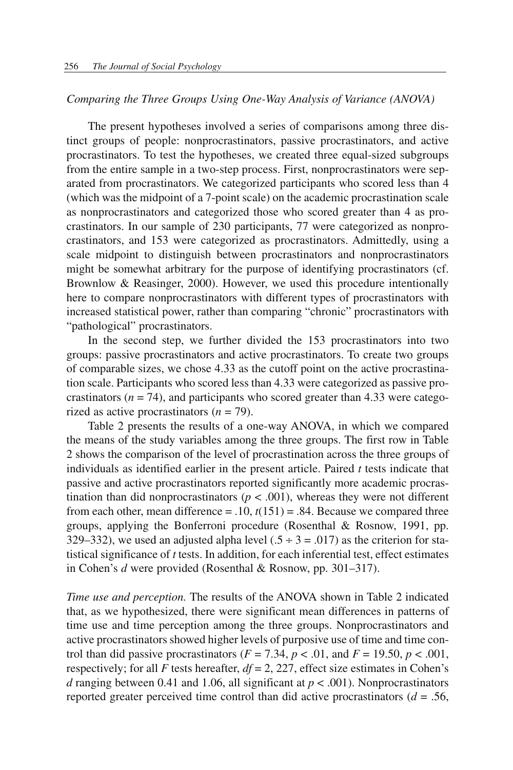## *Comparing the Three Groups Using One-Way Analysis of Variance (ANOVA)*

The present hypotheses involved a series of comparisons among three distinct groups of people: nonprocrastinators, passive procrastinators, and active procrastinators. To test the hypotheses, we created three equal-sized subgroups from the entire sample in a two-step process. First, nonprocrastinators were separated from procrastinators. We categorized participants who scored less than 4 (which was the midpoint of a 7-point scale) on the academic procrastination scale as nonprocrastinators and categorized those who scored greater than 4 as procrastinators. In our sample of 230 participants, 77 were categorized as nonprocrastinators, and 153 were categorized as procrastinators. Admittedly, using a scale midpoint to distinguish between procrastinators and nonprocrastinators might be somewhat arbitrary for the purpose of identifying procrastinators (cf. Brownlow & Reasinger, 2000). However, we used this procedure intentionally here to compare nonprocrastinators with different types of procrastinators with increased statistical power, rather than comparing "chronic" procrastinators with "pathological" procrastinators.

In the second step, we further divided the 153 procrastinators into two groups: passive procrastinators and active procrastinators. To create two groups of comparable sizes, we chose 4.33 as the cutoff point on the active procrastination scale. Participants who scored less than 4.33 were categorized as passive procrastinators  $(n = 74)$ , and participants who scored greater than 4.33 were categorized as active procrastinators  $(n = 79)$ .

Table 2 presents the results of a one-way ANOVA, in which we compared the means of the study variables among the three groups. The first row in Table 2 shows the comparison of the level of procrastination across the three groups of individuals as identified earlier in the present article. Paired *t* tests indicate that passive and active procrastinators reported significantly more academic procrastination than did nonprocrastinators ( $p < .001$ ), whereas they were not different from each other, mean difference =  $.10$ ,  $t(151) = .84$ . Because we compared three groups, applying the Bonferroni procedure (Rosenthal & Rosnow, 1991, pp. 329–332), we used an adjusted alpha level ( $.5 \div 3 = .017$ ) as the criterion for statistical significance of *t* tests. In addition, for each inferential test, effect estimates in Cohen's *d* were provided (Rosenthal & Rosnow, pp. 301–317).

*Time use and perception.* The results of the ANOVA shown in Table 2 indicated that, as we hypothesized, there were significant mean differences in patterns of time use and time perception among the three groups. Nonprocrastinators and active procrastinators showed higher levels of purposive use of time and time control than did passive procrastinators  $(F = 7.34, p < .01,$  and  $F = 19.50, p < .001,$ respectively; for all *F* tests hereafter,  $df = 2$ , 227, effect size estimates in Cohen's *d* ranging between 0.41 and 1.06, all significant at *p* < .001). Nonprocrastinators reported greater perceived time control than did active procrastinators (*d* = .56,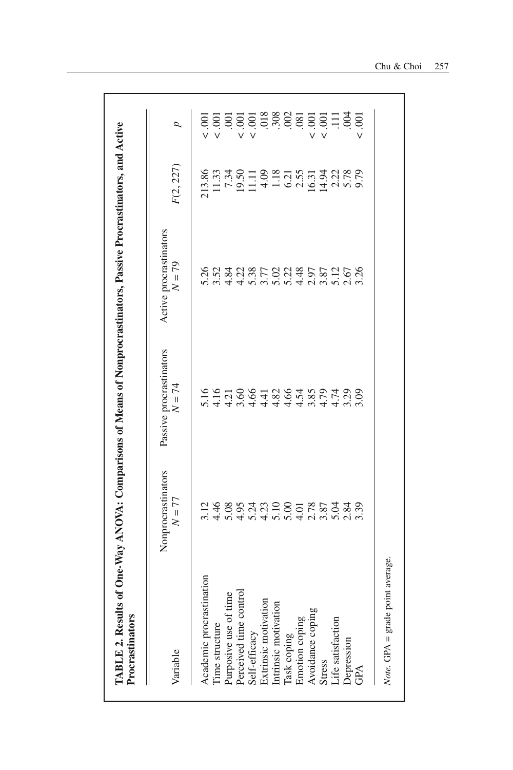| Procrastinators                  |                                    | TABLE 2. Results of One-Way ANOVA: Comparisons of Means of Nonprocrastinators, Passive Procrastinators, and Active |                                                  |                      |                   |
|----------------------------------|------------------------------------|--------------------------------------------------------------------------------------------------------------------|--------------------------------------------------|----------------------|-------------------|
| Variable                         | Nonprocrastinators<br>$N = 77$     | Passive procrastinators<br>$N = 74$                                                                                | Active procrastinators<br>$N = 79$               | F(2, 227)            |                   |
| Academic procrastination         | 3.12                               | 5.16                                                                                                               | 5.26                                             | 213.86               | $-001$            |
| Time structure                   |                                    | 4.16                                                                                                               |                                                  | 11.33                | $-0.001$          |
| Purposive use of time            |                                    |                                                                                                                    |                                                  | 7.34                 | $\overline{00}$   |
| Perceived time control           |                                    |                                                                                                                    |                                                  |                      | $\overline{.001}$ |
| Self-efficacy                    |                                    |                                                                                                                    |                                                  | 19.50                | 001               |
| Extrinsic motivation             |                                    |                                                                                                                    |                                                  | 4.09                 | .018              |
| Intrinsic motivation             |                                    |                                                                                                                    |                                                  |                      |                   |
| Task coping                      | dondring<br>Acondrico<br>Acondrico | dio Sungue di Sungue<br>1984 Sungue di Sungue<br>1984 Sungue di Sungue                                             | nadwr ddwr ball<br>Sadwr Dddow 10<br>Sadwr Ddw C | 1.18<br>6.21<br>2.55 | $.308$<br>$.002$  |
| Emotion coping                   |                                    |                                                                                                                    |                                                  |                      | .081              |
| Avoidance coping                 |                                    |                                                                                                                    |                                                  | 16.31                | $-0.001$          |
| Stress                           |                                    |                                                                                                                    |                                                  |                      | $\leq 0.001$      |
| Life satisfaction                |                                    |                                                                                                                    |                                                  | 1<br>2006<br>2010    | $\Xi$             |
| Depression                       | 2.84                               |                                                                                                                    |                                                  |                      | 004               |
| ĜŔ                               | 3.39                               |                                                                                                                    | 3.26                                             |                      | $-0.001$          |
| Note. GPA = grade point average. |                                    |                                                                                                                    |                                                  |                      |                   |
|                                  |                                    |                                                                                                                    |                                                  |                      |                   |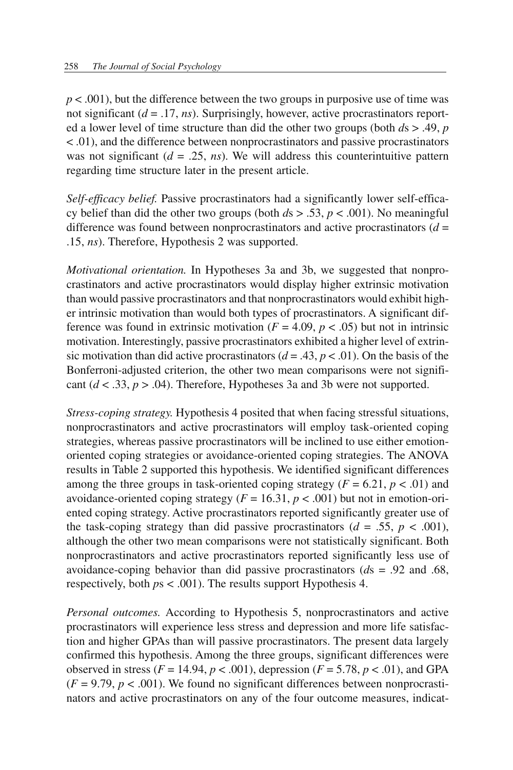$p < .001$ ), but the difference between the two groups in purposive use of time was not significant (*d* = .17, *ns*). Surprisingly, however, active procrastinators reported a lower level of time structure than did the other two groups (both *d*s > .49, *p* < .01), and the difference between nonprocrastinators and passive procrastinators was not significant  $(d = .25, ns)$ . We will address this counterintuitive pattern regarding time structure later in the present article.

*Self-efficacy belief.* Passive procrastinators had a significantly lower self-efficacy belief than did the other two groups (both  $ds > .53$ ,  $p < .001$ ). No meaningful difference was found between nonprocrastinators and active procrastinators  $(d =$ .15, *ns*). Therefore, Hypothesis 2 was supported.

*Motivational orientation.* In Hypotheses 3a and 3b, we suggested that nonprocrastinators and active procrastinators would display higher extrinsic motivation than would passive procrastinators and that nonprocrastinators would exhibit higher intrinsic motivation than would both types of procrastinators. A significant difference was found in extrinsic motivation  $(F = 4.09, p < .05)$  but not in intrinsic motivation. Interestingly, passive procrastinators exhibited a higher level of extrinsic motivation than did active procrastinators  $(d = .43, p < .01)$ . On the basis of the Bonferroni-adjusted criterion, the other two mean comparisons were not significant  $(d < .33, p > .04)$ . Therefore, Hypotheses 3a and 3b were not supported.

*Stress-coping strategy.* Hypothesis 4 posited that when facing stressful situations, nonprocrastinators and active procrastinators will employ task-oriented coping strategies, whereas passive procrastinators will be inclined to use either emotionoriented coping strategies or avoidance-oriented coping strategies. The ANOVA results in Table 2 supported this hypothesis. We identified significant differences among the three groups in task-oriented coping strategy  $(F = 6.21, p < .01)$  and avoidance-oriented coping strategy  $(F = 16.31, p < .001)$  but not in emotion-oriented coping strategy. Active procrastinators reported significantly greater use of the task-coping strategy than did passive procrastinators  $(d = .55, p < .001)$ , although the other two mean comparisons were not statistically significant. Both nonprocrastinators and active procrastinators reported significantly less use of avoidance-coping behavior than did passive procrastinators (*d*s = .92 and .68, respectively, both *p*s < .001). The results support Hypothesis 4.

*Personal outcomes.* According to Hypothesis 5, nonprocrastinators and active procrastinators will experience less stress and depression and more life satisfaction and higher GPAs than will passive procrastinators. The present data largely confirmed this hypothesis. Among the three groups, significant differences were observed in stress  $(F = 14.94, p < .001)$ , depression  $(F = 5.78, p < .01)$ , and GPA  $(F = 9.79, p < .001)$ . We found no significant differences between nonprocrastinators and active procrastinators on any of the four outcome measures, indicat-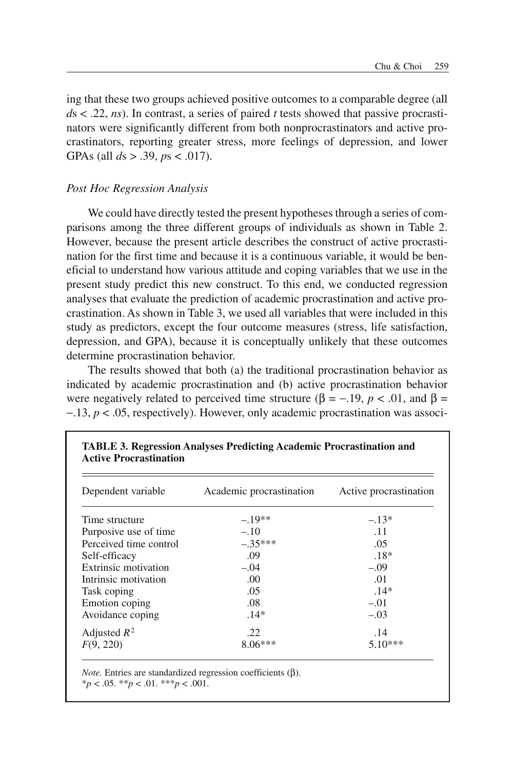ing that these two groups achieved positive outcomes to a comparable degree (all *d*s < .22, *ns*). In contrast, a series of paired *t* tests showed that passive procrastinators were significantly different from both nonprocrastinators and active procrastinators, reporting greater stress, more feelings of depression, and lower GPAs (all *d*s > .39, *p*s < .017).

## *Post Hoc Regression Analysis*

We could have directly tested the present hypotheses through a series of comparisons among the three different groups of individuals as shown in Table 2. However, because the present article describes the construct of active procrastination for the first time and because it is a continuous variable, it would be beneficial to understand how various attitude and coping variables that we use in the present study predict this new construct. To this end, we conducted regression analyses that evaluate the prediction of academic procrastination and active procrastination. As shown in Table 3, we used all variables that were included in this study as predictors, except the four outcome measures (stress, life satisfaction, depression, and GPA), because it is conceptually unlikely that these outcomes determine procrastination behavior.

The results showed that both (a) the traditional procrastination behavior as indicated by academic procrastination and (b) active procrastination behavior were negatively related to perceived time structure ( $\beta = -19$ ,  $p < .01$ , and  $\beta =$ −.13, *p* < .05, respectively). However, only academic procrastination was associ-

| Dependent variable     | Academic procrastination | Active procrastination |
|------------------------|--------------------------|------------------------|
| Time structure         | $-.19**$                 | $-.13*$                |
| Purposive use of time  | $-.10$                   | .11                    |
| Perceived time control | $-.35***$                | .05                    |
| Self-efficacy          | .09                      | $.18*$                 |
| Extrinsic motivation   | $-.04$                   | $-.09$                 |
| Intrinsic motivation   | .00.                     | .01                    |
| Task coping            | .05                      | $.14*$                 |
| Emotion coping         | .08                      | $-.01$                 |
| Avoidance coping       | $.14*$                   | $-.03$                 |
| Adjusted $R^2$         | .22                      | .14                    |
| F(9, 220)              | $8.06***$                | $5.10***$              |

| <b>TABLE 3. Regression Analyses Predicting Academic Procrastination and</b> |  |  |
|-----------------------------------------------------------------------------|--|--|
| <b>Active Procrastination</b>                                               |  |  |

*Note*. Entries are standardized regression coefficients (β).

\**p* < .05. \*\**p* < .01. \*\*\**p* < .001.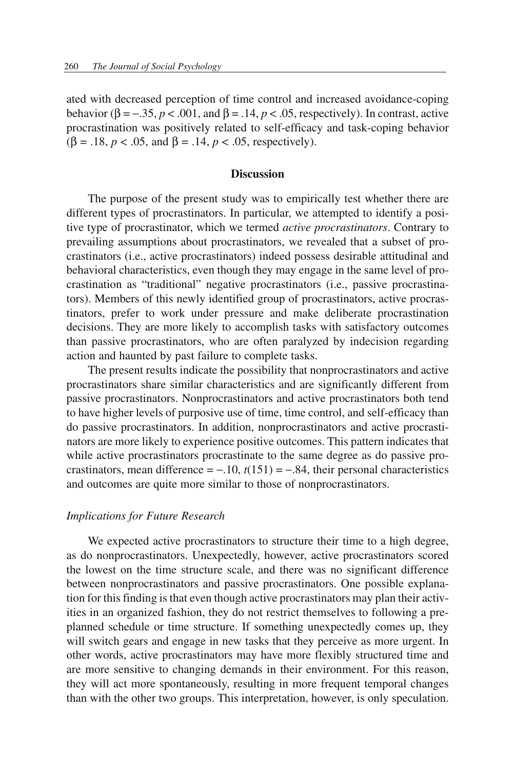ated with decreased perception of time control and increased avoidance-coping behavior ( $\beta = -0.35$ ,  $p < 0.001$ , and  $\beta = 0.14$ ,  $p < 0.05$ , respectively). In contrast, active procrastination was positively related to self-efficacy and task-coping behavior ( $\beta = .18$ ,  $p < .05$ , and  $\beta = .14$ ,  $p < .05$ , respectively).

## **Discussion**

The purpose of the present study was to empirically test whether there are different types of procrastinators. In particular, we attempted to identify a positive type of procrastinator, which we termed *active procrastinators*. Contrary to prevailing assumptions about procrastinators, we revealed that a subset of procrastinators (i.e., active procrastinators) indeed possess desirable attitudinal and behavioral characteristics, even though they may engage in the same level of procrastination as "traditional" negative procrastinators (i.e., passive procrastinators). Members of this newly identified group of procrastinators, active procrastinators, prefer to work under pressure and make deliberate procrastination decisions. They are more likely to accomplish tasks with satisfactory outcomes than passive procrastinators, who are often paralyzed by indecision regarding action and haunted by past failure to complete tasks.

The present results indicate the possibility that nonprocrastinators and active procrastinators share similar characteristics and are significantly different from passive procrastinators. Nonprocrastinators and active procrastinators both tend to have higher levels of purposive use of time, time control, and self-efficacy than do passive procrastinators. In addition, nonprocrastinators and active procrastinators are more likely to experience positive outcomes. This pattern indicates that while active procrastinators procrastinate to the same degree as do passive procrastinators, mean difference  $=$   $-10$ ,  $t(151) = -0.84$ , their personal characteristics and outcomes are quite more similar to those of nonprocrastinators.

#### *Implications for Future Research*

We expected active procrastinators to structure their time to a high degree, as do nonprocrastinators. Unexpectedly, however, active procrastinators scored the lowest on the time structure scale, and there was no significant difference between nonprocrastinators and passive procrastinators. One possible explanation for this finding is that even though active procrastinators may plan their activities in an organized fashion, they do not restrict themselves to following a preplanned schedule or time structure. If something unexpectedly comes up, they will switch gears and engage in new tasks that they perceive as more urgent. In other words, active procrastinators may have more flexibly structured time and are more sensitive to changing demands in their environment. For this reason, they will act more spontaneously, resulting in more frequent temporal changes than with the other two groups. This interpretation, however, is only speculation.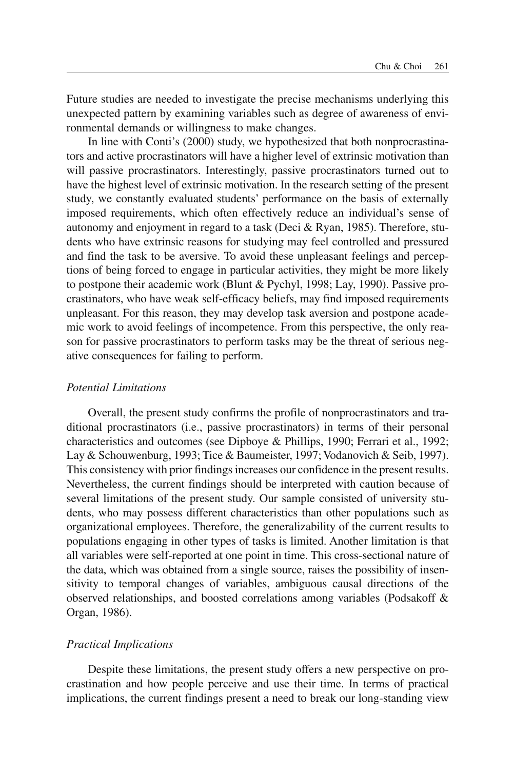Future studies are needed to investigate the precise mechanisms underlying this unexpected pattern by examining variables such as degree of awareness of environmental demands or willingness to make changes.

In line with Conti's (2000) study, we hypothesized that both nonprocrastinators and active procrastinators will have a higher level of extrinsic motivation than will passive procrastinators. Interestingly, passive procrastinators turned out to have the highest level of extrinsic motivation. In the research setting of the present study, we constantly evaluated students' performance on the basis of externally imposed requirements, which often effectively reduce an individual's sense of autonomy and enjoyment in regard to a task (Deci  $&$  Ryan, 1985). Therefore, students who have extrinsic reasons for studying may feel controlled and pressured and find the task to be aversive. To avoid these unpleasant feelings and perceptions of being forced to engage in particular activities, they might be more likely to postpone their academic work (Blunt & Pychyl, 1998; Lay, 1990). Passive procrastinators, who have weak self-efficacy beliefs, may find imposed requirements unpleasant. For this reason, they may develop task aversion and postpone academic work to avoid feelings of incompetence. From this perspective, the only reason for passive procrastinators to perform tasks may be the threat of serious negative consequences for failing to perform.

#### *Potential Limitations*

Overall, the present study confirms the profile of nonprocrastinators and traditional procrastinators (i.e., passive procrastinators) in terms of their personal characteristics and outcomes (see Dipboye & Phillips, 1990; Ferrari et al., 1992; Lay & Schouwenburg, 1993; Tice & Baumeister, 1997; Vodanovich & Seib, 1997). This consistency with prior findings increases our confidence in the present results. Nevertheless, the current findings should be interpreted with caution because of several limitations of the present study. Our sample consisted of university students, who may possess different characteristics than other populations such as organizational employees. Therefore, the generalizability of the current results to populations engaging in other types of tasks is limited. Another limitation is that all variables were self-reported at one point in time. This cross-sectional nature of the data, which was obtained from a single source, raises the possibility of insensitivity to temporal changes of variables, ambiguous causal directions of the observed relationships, and boosted correlations among variables (Podsakoff & Organ, 1986).

#### *Practical Implications*

Despite these limitations, the present study offers a new perspective on procrastination and how people perceive and use their time. In terms of practical implications, the current findings present a need to break our long-standing view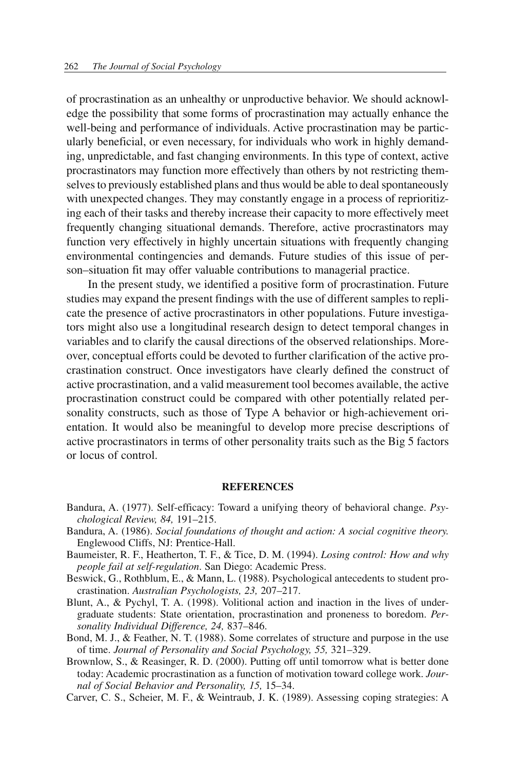of procrastination as an unhealthy or unproductive behavior. We should acknowledge the possibility that some forms of procrastination may actually enhance the well-being and performance of individuals. Active procrastination may be particularly beneficial, or even necessary, for individuals who work in highly demanding, unpredictable, and fast changing environments. In this type of context, active procrastinators may function more effectively than others by not restricting themselves to previously established plans and thus would be able to deal spontaneously with unexpected changes. They may constantly engage in a process of reprioritizing each of their tasks and thereby increase their capacity to more effectively meet frequently changing situational demands. Therefore, active procrastinators may function very effectively in highly uncertain situations with frequently changing environmental contingencies and demands. Future studies of this issue of person–situation fit may offer valuable contributions to managerial practice.

In the present study, we identified a positive form of procrastination. Future studies may expand the present findings with the use of different samples to replicate the presence of active procrastinators in other populations. Future investigators might also use a longitudinal research design to detect temporal changes in variables and to clarify the causal directions of the observed relationships. Moreover, conceptual efforts could be devoted to further clarification of the active procrastination construct. Once investigators have clearly defined the construct of active procrastination, and a valid measurement tool becomes available, the active procrastination construct could be compared with other potentially related personality constructs, such as those of Type A behavior or high-achievement orientation. It would also be meaningful to develop more precise descriptions of active procrastinators in terms of other personality traits such as the Big 5 factors or locus of control.

#### **REFERENCES**

- Bandura, A. (1977). Self-efficacy: Toward a unifying theory of behavioral change. *Psychological Review, 84,* 191–215.
- Bandura, A. (1986). *Social foundations of thought and action: A social cognitive theory.* Englewood Cliffs, NJ: Prentice-Hall.
- Baumeister, R. F., Heatherton, T. F., & Tice, D. M. (1994). *Losing control: How and why people fail at self-regulation*. San Diego: Academic Press.
- Beswick, G., Rothblum, E., & Mann, L. (1988). Psychological antecedents to student procrastination. *Australian Psychologists, 23,* 207–217.
- Blunt, A., & Pychyl, T. A. (1998). Volitional action and inaction in the lives of undergraduate students: State orientation, procrastination and proneness to boredom. *Personality Individual Difference, 24,* 837–846.
- Bond, M. J., & Feather, N. T. (1988). Some correlates of structure and purpose in the use of time. *Journal of Personality and Social Psychology, 55,* 321–329.
- Brownlow, S., & Reasinger, R. D. (2000). Putting off until tomorrow what is better done today: Academic procrastination as a function of motivation toward college work. *Journal of Social Behavior and Personality, 15,* 15–34.
- Carver, C. S., Scheier, M. F., & Weintraub, J. K. (1989). Assessing coping strategies: A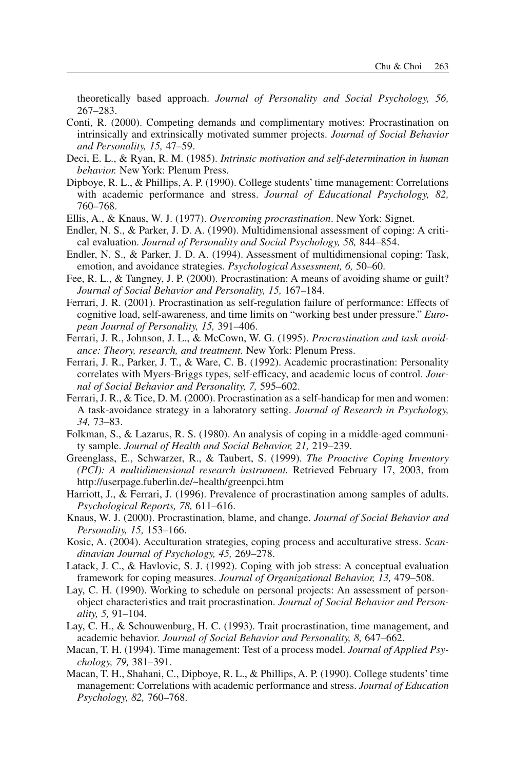theoretically based approach. *Journal of Personality and Social Psychology, 56,* 267–283.

- Conti, R. (2000). Competing demands and complimentary motives: Procrastination on intrinsically and extrinsically motivated summer projects. *Journal of Social Behavior and Personality, 15,* 47–59.
- Deci, E. L., & Ryan, R. M. (1985). *Intrinsic motivation and self-determination in human behavior.* New York: Plenum Press.
- Dipboye, R. L., & Phillips, A. P. (1990). College students' time management: Correlations with academic performance and stress. *Journal of Educational Psychology, 82,* 760–768.
- Ellis, A., & Knaus, W. J. (1977). *Overcoming procrastination*. New York: Signet.
- Endler, N. S., & Parker, J. D. A. (1990). Multidimensional assessment of coping: A critical evaluation. *Journal of Personality and Social Psychology, 58,* 844–854.
- Endler, N. S., & Parker, J. D. A. (1994). Assessment of multidimensional coping: Task, emotion, and avoidance strategies. *Psychological Assessment, 6,* 50–60.
- Fee, R. L., & Tangney, J. P. (2000). Procrastination: A means of avoiding shame or guilt? *Journal of Social Behavior and Personality, 15,* 167–184.
- Ferrari, J. R. (2001). Procrastination as self-regulation failure of performance: Effects of cognitive load, self-awareness, and time limits on "working best under pressure." *European Journal of Personality, 15,* 391–406.
- Ferrari, J. R., Johnson, J. L., & McCown, W. G. (1995). *Procrastination and task avoidance: Theory, research, and treatment.* New York: Plenum Press.
- Ferrari, J. R., Parker, J. T., & Ware, C. B. (1992). Academic procrastination: Personality correlates with Myers-Briggs types, self-efficacy, and academic locus of control. *Journal of Social Behavior and Personality, 7,* 595–602.
- Ferrari, J. R., & Tice, D. M. (2000). Procrastination as a self-handicap for men and women: A task-avoidance strategy in a laboratory setting. *Journal of Research in Psychology, 34,* 73–83.
- Folkman, S., & Lazarus, R. S. (1980). An analysis of coping in a middle-aged community sample. *Journal of Health and Social Behavior, 21,* 219–239.
- Greenglass, E., Schwarzer, R., & Taubert, S. (1999). *The Proactive Coping Inventory (PCI): A multidimensional research instrument.* Retrieved February 17, 2003, from http://userpage.fuberlin.de/~health/greenpci.htm
- Harriott, J., & Ferrari, J. (1996). Prevalence of procrastination among samples of adults. *Psychological Reports, 78,* 611–616.
- Knaus, W. J. (2000). Procrastination, blame, and change. *Journal of Social Behavior and Personality, 15,* 153–166.
- Kosic, A. (2004). Acculturation strategies, coping process and acculturative stress. *Scandinavian Journal of Psychology, 45,* 269–278.
- Latack, J. C., & Havlovic, S. J. (1992). Coping with job stress: A conceptual evaluation framework for coping measures. *Journal of Organizational Behavior, 13,* 479–508.
- Lay, C. H. (1990). Working to schedule on personal projects: An assessment of personobject characteristics and trait procrastination. *Journal of Social Behavior and Personality, 5,* 91–104.
- Lay, C. H., & Schouwenburg, H. C. (1993). Trait procrastination, time management, and academic behavior. *Journal of Social Behavior and Personality, 8,* 647–662.
- Macan, T. H. (1994). Time management: Test of a process model. *Journal of Applied Psychology, 79,* 381–391.
- Macan, T. H., Shahani, C., Dipboye, R. L., & Phillips, A. P. (1990). College students' time management: Correlations with academic performance and stress. *Journal of Education Psychology, 82,* 760–768.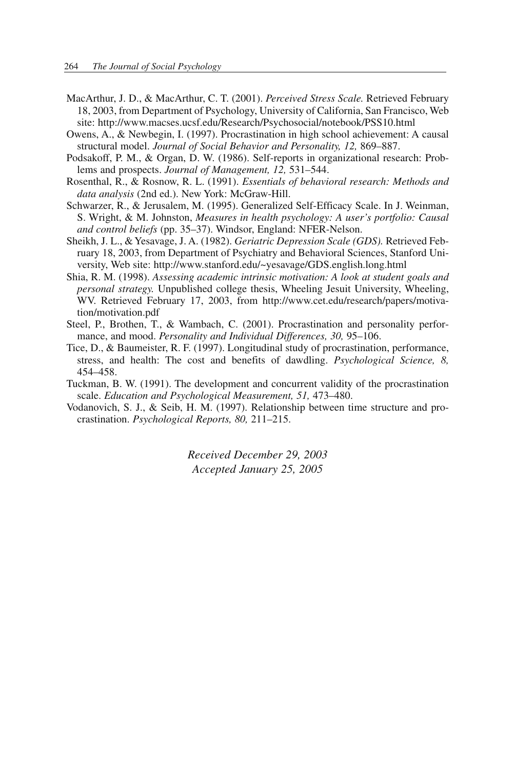- MacArthur, J. D., & MacArthur, C. T. (2001). *Perceived Stress Scale.* Retrieved February 18, 2003, from Department of Psychology, University of California, San Francisco, Web site: http://www.macses.ucsf.edu/Research/Psychosocial/notebook/PSS10.html
- Owens, A., & Newbegin, I. (1997). Procrastination in high school achievement: A causal structural model. *Journal of Social Behavior and Personality, 12,* 869–887.
- Podsakoff, P. M., & Organ, D. W. (1986). Self-reports in organizational research: Problems and prospects. *Journal of Management, 12,* 531–544.
- Rosenthal, R., & Rosnow, R. L. (1991). *Essentials of behavioral research: Methods and data analysis* (2nd ed.). New York: McGraw-Hill.
- Schwarzer, R., & Jerusalem, M. (1995). Generalized Self-Efficacy Scale. In J. Weinman, S. Wright, & M. Johnston, *Measures in health psychology: A user's portfolio: Causal and control beliefs* (pp. 35–37). Windsor, England: NFER-Nelson.
- Sheikh, J. L., & Yesavage, J. A. (1982). *Geriatric Depression Scale (GDS).* Retrieved February 18, 2003, from Department of Psychiatry and Behavioral Sciences, Stanford University, Web site: http://www.stanford.edu/~yesavage/GDS.english.long.html
- Shia, R. M. (1998). *Assessing academic intrinsic motivation: A look at student goals and personal strategy.* Unpublished college thesis, Wheeling Jesuit University, Wheeling, WV. Retrieved February 17, 2003, from http://www.cet.edu/research/papers/motivation/motivation.pdf
- Steel, P., Brothen, T., & Wambach, C. (2001). Procrastination and personality performance, and mood. *Personality and Individual Differences, 30,* 95–106.
- Tice, D., & Baumeister, R. F. (1997). Longitudinal study of procrastination, performance, stress, and health: The cost and benefits of dawdling. *Psychological Science, 8,* 454–458.
- Tuckman, B. W. (1991). The development and concurrent validity of the procrastination scale. *Education and Psychological Measurement, 51,* 473–480.
- Vodanovich, S. J., & Seib, H. M. (1997). Relationship between time structure and procrastination. *Psychological Reports, 80,* 211–215.

*Received December 29, 2003 Accepted January 25, 2005*